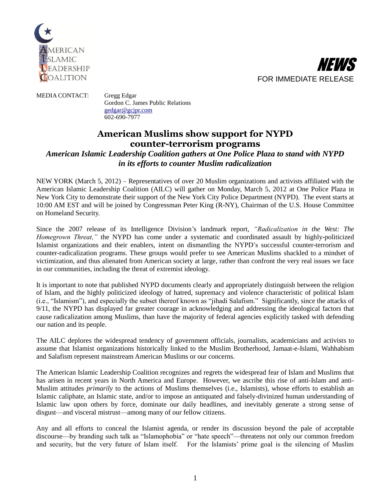



## MEDIA CONTACT: Gregg Edgar Gordon C. James Public Relations [gedgar@gcjpr.com](mailto:gedgar@gcjpr.com) 602-690-7977

## **American Muslims show support for NYPD counter-terrorism programs**

## *American Islamic Leadership Coalition gathers at One Police Plaza to stand with NYPD in its efforts to counter Muslim radicalization*

NEW YORK (March 5, 2012) – Representatives of over 20 Muslim organizations and activists affiliated with the American Islamic Leadership Coalition (AILC) will gather on Monday, March 5, 2012 at One Police Plaza in New York City to demonstrate their support of the New York City Police Department (NYPD). The event starts at 10:00 AM EST and will be joined by Congressman Peter King (R-NY), Chairman of the U.S. House Committee on Homeland Security.

Since the 2007 release of its Intelligence Division's landmark report, *"Radicalization in the West: The Homegrown Threat,"* the NYPD has come under a systematic and coordinated assault by highly-politicized Islamist organizations and their enablers, intent on dismantling the NYPD's successful counter-terrorism and counter-radicalization programs. These groups would prefer to see American Muslims shackled to a mindset of victimization, and thus alienated from American society at large, rather than confront the very real issues we face in our communities, including the threat of extremist ideology.

It is important to note that published NYPD documents clearly and appropriately distinguish between the religion of Islam, and the highly politicized ideology of hatred, supremacy and violence characteristic of political Islam (i.e., "Islamism"), and especially the subset thereof known as "jihadi Salafism." Significantly, since the attacks of 9/11, the NYPD has displayed far greater courage in acknowledging and addressing the ideological factors that cause radicalization among Muslims, than have the majority of federal agencies explicitly tasked with defending our nation and its people.

The AILC deplores the widespread tendency of government officials, journalists, academicians and activists to assume that Islamist organizations historically linked to the Muslim Brotherhood, Jamaat-e-Islami, Wahhabism and Salafism represent mainstream American Muslims or our concerns.

The American Islamic Leadership Coalition recognizes and regrets the widespread fear of Islam and Muslims that has arisen in recent years in North America and Europe. However, we ascribe this rise of anti-Islam and anti-Muslim attitudes *primarily* to the actions of Muslims themselves (i.e., Islamists), whose efforts to establish an Islamic caliphate, an Islamic state, and/or to impose an antiquated and falsely-divinized human understanding of Islamic law upon others by force, dominate our daily headlines, and inevitably generate a strong sense of disgust—and visceral mistrust—among many of our fellow citizens.

Any and all efforts to conceal the Islamist agenda, or render its discussion beyond the pale of acceptable discourse—by branding such talk as "Islamophobia" or "hate speech"—threatens not only our common freedom and security, but the very future of Islam itself. For the Islamists' prime goal is the silencing of Muslim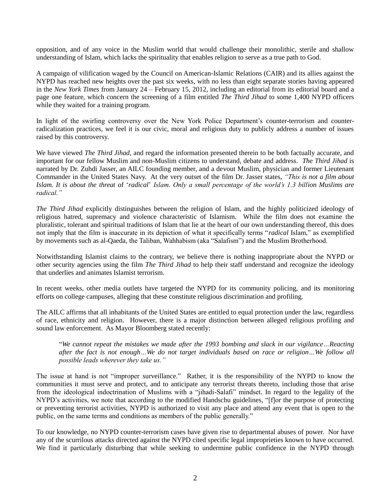opposition, and of any voice in the Muslim world that would challenge their monolithic, sterile and shallow understanding of Islam, which lacks the spirituality that enables religion to serve as a true path to God.

A campaign of vilification waged by the Council on American-Islamic Relations (CAIR) and its allies against the NYPD has reached new heights over the past six weeks, with no less than eight separate stories having appeared in the *New York Times* from January 24 – February 15, 2012, including an editorial from its editorial board and a page one feature, which concern the screening of a film entitled *The Third Jihad* to some 1,400 NYPD officers while they waited for a training program.

In light of the swirling controversy over the New York Police Department's counter-terrorism and counterradicalization practices, we feel it is our civic, moral and religious duty to publicly address a number of issues raised by this controversy.

We have viewed *The Third Jihad*, and regard the information presented therein to be both factually accurate, and important for our fellow Muslim and non-Muslim citizens to understand, debate and address. *The Third Jihad* is narrated by Dr. Zuhdi Jasser, an AILC founding member, and a devout Muslim, physician and former Lieutenant Commander in the United States Navy. At the very outset of the film Dr. Jasser states, *"This is not a film about Islam. It is about the threat* of '*radical*' *Islam. Only a small percentage of the world's 1.3 billion Muslims are radical."*

*The Third Jihad* explicitly distinguishes between the religion of Islam, and the highly politicized ideology of religious hatred, supremacy and violence characteristic of Islamism. While the film does not examine the pluralistic, tolerant and spiritual traditions of Islam that lie at the heart of our own understanding thereof, this does not imply that the film is inaccurate in its depiction of what it specifically terms "*radical* Islam," as exemplified by movements such as al-Qaeda, the Taliban, Wahhabism (aka "Salafism") and the Muslim Brotherhood.

Notwithstanding Islamist claims to the contrary, we believe there is nothing inappropriate about the NYPD or other security agencies using the film *The Third Jihad* to help their staff understand and recognize the ideology that underlies and animates Islamist terrorism.

In recent weeks, other media outlets have targeted the NYPD for its community policing, and its monitoring efforts on college campuses, alleging that these constitute religious discrimination and profiling.

The AILC affirms that all inhabitants of the United States are entitled to equal protection under the law, regardless of race, ethnicity and religion. However, there is a major distinction between alleged religious profiling and sound law enforcement. As Mayor Bloomberg stated recently:

"*We cannot repeat the mistakes we made after the 1993 bombing and slack in our vigilance…Reacting after the fact is not enough…We do not target individuals based on race or religion…We follow all possible leads wherever they take us."*

The issue at hand is not "improper surveillance." Rather, it is the responsibility of the NYPD to know the communities it must serve and protect, and to anticipate any terrorist threats thereto, including those that arise from the ideological indoctrination of Muslims with a "jihadi-Salafi" mindset. In regard to the legality of the NYPD's activities, we note that according to the modified Handschu guidelines, "[f]or the purpose of protecting or preventing terrorist activities, NYPD is authorized to visit any place and attend any event that is open to the public, on the same terms and conditions as members of the public generally."

To our knowledge, no NYPD counter-terrorism cases have given rise to departmental abuses of power. Nor have any of the scurrilous attacks directed against the NYPD cited specific legal improprieties known to have occurred. We find it particularly disturbing that while seeking to undermine public confidence in the NYPD through